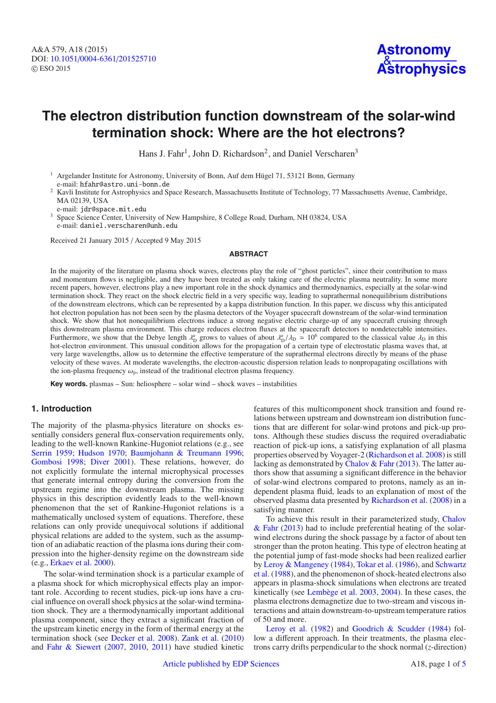# **The electron distribution function downstream of the solar-wind termination shock: Where are the hot electrons?**

Hans J. Fahr<sup>1</sup>, John D. Richardson<sup>2</sup>, and Daniel Verscharen<sup>3</sup>

<sup>1</sup> Argelander Institute for Astronomy, University of Bonn, Auf dem Hügel 71, 53121 Bonn, Germany e-mail: hfahr@astro.uni-bonn.de

<sup>2</sup> Kavli Institute for Astrophysics and Space Research, Massachusetts Institute of Technology, 77 Massachusetts Avenue, Cambridge, MA 02139, USA

e-mail: jdr@space.mit.edu

<sup>3</sup> Space Science Center, University of New Hampshire, 8 College Road, Durham, NH 03824, USA e-mail: daniel.verscharen@unh.edu

Received 21 January 2015 / Accepted 9 May 2015

#### **ABSTRACT**

In the majority of the literature on plasma shock waves, electrons play the role of "ghost particles", since their contribution to mass and momentum flows is negligible, and they have been treated as only taking care of the electric plasma neutrality. In some more recent papers, however, electrons play a new important role in the shock dynamics and thermodynamics, especially at the solar-wind termination shock. They react on the shock electric field in a very specific way, leading to suprathermal nonequilibrium distributions of the downstream electrons, which can be represented by a kappa distribution function. In this paper, we discuss why this anticipated hot electron population has not been seen by the plasma detectors of the Voyager spacecraft downstream of the solar-wind termination shock. We show that hot nonequilibrium electrons induce a strong negative electric charge-up of any spacecraft cruising through this downstream plasma environment. This charge reduces electron fluxes at the spacecraft detectors to nondetectable intensities. Furthermore, we show that the Debye length  $\lambda_D^{\kappa}$  grows to values of about  $\lambda_D^{\kappa}/\lambda_D \simeq 10^6$  compared to the classical value  $\lambda_D$  in this hot-electron environment. This unusual condition allows for the propagati hot-electron environment. This unusual condition allows for the propagation of a certain type of electrostatic plasma waves that, at very large wavelengths, allow us to determine the effective temperature of the suprathermal electrons directly by means of the phase velocity of these waves. At moderate wavelengths, the electron-acoustic dispersion relation leads to nonpropagating oscillations with the ion-plasma frequency  $\omega_p$ , instead of the traditional electron plasma frequency.

**Key words.** plasmas – Sun: heliosphere – solar wind – shock waves – instabilities

### **1. Introduction**

The majority of the plasma-physics literature on shocks essentially considers general flux-conservation requirements only, leading to the well-known Rankine-Hugoniot relations (e.g., see [Serrin 1959;](#page-4-0) [Hudson 1970;](#page-4-1) [Baumjohann & Treumann 1996;](#page-4-2) [Gombosi 1998](#page-4-3); [Diver 2001](#page-4-4)). These relations, however, do not explicitly formulate the internal microphysical processes that generate internal entropy during the conversion from the upstream regime into the downstream plasma. The missing physics in this description evidently leads to the well-known phenomenon that the set of Rankine-Hugoniot relations is a mathematically unclosed system of equations. Therefore, these relations can only provide unequivocal solutions if additional physical relations are added to the system, such as the assumption of an adiabatic reaction of the plasma ions during their compression into the higher-density regime on the downstream side (e.g., [Erkaev et al. 2000\)](#page-4-5).

The solar-wind termination shock is a particular example of a plasma shock for which microphysical effects play an important role. According to recent studies, pick-up ions have a crucial influence on overall shock physics at the solar-wind termination shock. They are a thermodynamically important additional plasma component, since they extract a significant fraction of the upstream kinetic energy in the form of thermal energy at the termination shock (see [Decker et al. 2008](#page-4-6)). [Zank et al.](#page-4-7) [\(2010](#page-4-7)) and [Fahr & Siewert](#page-4-8) [\(2007,](#page-4-8) [2010](#page-4-9), [2011](#page-4-10)) have studied kinetic features of this multicomponent shock transition and found relations between upstream and downstream ion distribution functions that are different for solar-wind protons and pick-up protons. Although these studies discuss the required overadiabatic reaction of pick-up ions, a satisfying explanation of all plasma properties observed by Voyager-2 [\(Richardson et al. 2008\)](#page-4-11) is still lacking as demonstrated by [Chalov & Fahr](#page-4-12) [\(2013\)](#page-4-12). The latter authors show that assuming a significant difference in the behavior of solar-wind electrons compared to protons, namely as an independent plasma fluid, leads to an explanation of most of the observed plasma data presented by [Richardson et al.](#page-4-11) [\(2008](#page-4-11)) in a satisfying manner.

To [achieve this result in their parameterized study,](#page-4-12) Chalov & Fahr [\(2013](#page-4-12)) had to include preferential heating of the solarwind electrons during the shock passage by a factor of about ten stronger than the proton heating. This type of electron heating at the potential jump of fast-mode shocks had been realized earlier by [Leroy & Mangeney](#page-4-13) [\(1984](#page-4-13)), [Tokar et al.](#page-4-14) [\(1986\)](#page-4-14), and Schwartz et al. [\(1988\)](#page-4-15), and the phenomenon of shock-heated electrons also appears in plasma-shock simulations when electrons are treated kinetically (see [Lembège et al. 2003,](#page-4-16) [2004](#page-4-17)). In these cases, the plasma electrons demagnetize due to two-stream and viscous interactions and attain downstream-to-upstream temperature ratios [of 50 and more.](#page-4-18)

Leroy et al. [\(1982\)](#page-4-18) and [Goodrich & Scudder](#page-4-19) [\(1984](#page-4-19)) follow a different approach. In their treatments, the plasma electrons carry drifts perpendicular to the shock normal (*z*-direction)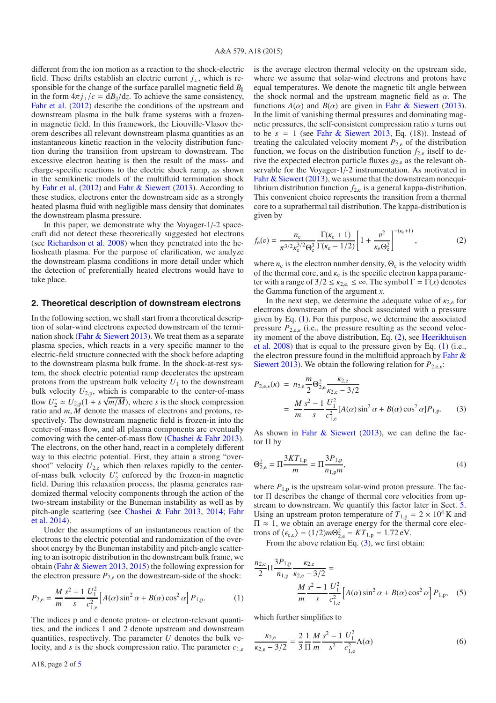different from the ion motion as a reaction to the shock-electric field. These drifts establish an electric current *j*⊥, which is responsible for the change of the surface parallel magnetic field *B* in the form  $4\pi j_{\perp}/c = dB_{\parallel}/dz$ . To achieve the same consistency, [Fahr et al.](#page-4-21) [\(2012\)](#page-4-21) describe the conditions of the upstream and downstream plasma in the bulk frame systems with a frozenin magnetic field. In this framework, the Liouville-Vlasov theorem describes all relevant downstream plasma quantities as an instantaneous kinetic reaction in the velocity distribution function during the transition from upstream to downstream. The excessive electron heating is then the result of the mass- and charge-specific reactions to the electric shock ramp, as shown in the semikinetic models of the multifluid termination shock by [Fahr et al.](#page-4-21) [\(2012\)](#page-4-21) and [Fahr & Siewert](#page-4-22) [\(2013](#page-4-22)). According to these studies, electrons enter the downstream side as a strongly heated plasma fluid with negligible mass density that dominates the downstream plasma pressure.

In this paper, we demonstrate why the Voyager-1/-2 spacecraft did not detect these theoretically suggested hot electrons (see [Richardson et al. 2008](#page-4-11)) when they penetrated into the heliosheath plasma. For the purpose of clarification, we analyze the downstream plasma conditions in more detail under which the detection of preferentially heated electrons would have to take place.

#### <span id="page-1-3"></span>**2. Theoretical description of downstream electrons**

In the following section, we shall start from a theoretical description of solar-wind electrons expected downstream of the termi-nation shock [\(Fahr & Siewert 2013](#page-4-22)). We treat them as a separate plasma species, which reacts in a very specific manner to the electric-field structure connected with the shock before adapting to the downstream plasma bulk frame. In the shock-at-rest system, the shock electric potential ramp decelerates the upstream protons from the upstream bulk velocity  $U_1$  to the downstream bulk velocity  $U_{2,p}$ , which is comparable to the center-of-mass flow  $U_2^* \simeq U_{2,p}(1 + s\sqrt{m/M})$ , where *s* is the shock compression<br>ratio and *m M* denote the masses of electrons and protons reratio and *<sup>m</sup>*, *<sup>M</sup>* denote the masses of electrons and protons, respectively. The downstream magnetic field is frozen-in into the center-of-mass flow, and all plasma components are eventually comoving with the center-of-mass flow [\(Chashei & Fahr 2013\)](#page-4-23). The electrons, on the other hand, react in a completely different way to this electric potential. First, they attain a strong "overshoot" velocity  $U_{2,e}$  which then relaxes rapidly to the centerof-mass bulk velocity  $U_2^*$  enforced by the frozen-in magnetic field. During this relaxation process, the plasma generates randomized thermal velocity components through the action of the two-stream instability or the Buneman instability as well as by pitch-angle scattering (see [Chashei & Fahr 2013](#page-4-23)[,](#page-4-25) [2014;](#page-4-24) Fahr et al. [2014\)](#page-4-25).

Under the assumptions of an instantaneous reaction of the electrons to the electric potential and randomization of the overshoot energy by the Buneman instability and pitch-angle scattering to an isotropic distribution in the downstream bulk frame, we obtain [\(Fahr & Siewert 2013](#page-4-22), [2015\)](#page-4-26) the following expression for the electron pressure  $P_{2,e}$  on the downstream-side of the shock:

$$
P_{2,e} = \frac{M}{m} \frac{s^2 - 1}{s} \frac{U_1^2}{c_{1,e}^2} \left[ A(\alpha) \sin^2 \alpha + B(\alpha) \cos^2 \alpha \right] P_{1,p}.
$$
 (1)

The indices p and e denote proton- or electron-relevant quantities, and the indices 1 and 2 denote upstream and downstream quantities, respectively. The parameter *U* denotes the bulk velocity, and *<sup>s</sup>* is the shock compression ratio. The parameter *<sup>c</sup>*<sup>1</sup>,<sup>e</sup>

<span id="page-1-1"></span>is the average electron thermal velocity on the upstream side, where we assume that solar-wind electrons and protons have equal temperatures. We denote the magnetic tilt angle between the shock normal and the upstream magnetic field as  $\alpha$ . The functions  $A(\alpha)$  and  $B(\alpha)$  are given in [Fahr & Siewert](#page-4-22) [\(2013\)](#page-4-22). In the limit of vanishing thermal pressures and dominating magnetic pressures, the self-consistent compression ratio *s* turns out to be  $s = 1$  (see [Fahr & Siewert 2013](#page-4-22), Eq. (18)). Instead of treating the calculated velocity moment  $P_{2e}$  of the distribution function, we focus on the distribution function  $f_{2,e}$  itself to derive the expected electron particle fluxes  $q_{2,e}$  as the relevant observable for the Voyager-1/-2 instrumentation. As motivated in [Fahr & Siewert](#page-4-22) [\(2013\)](#page-4-22), we assume that the downstream nonequilibrium distribution function  $f_{2,e}$  is a general kappa-distribution. This convenient choice represents the transition from a thermal core to a suprathermal tail distribution. The kappa-distribution is given by

$$
f_{e}(v) = \frac{n_{e}}{\pi^{3/2} \kappa_{e}^{3/2} \Theta_{e}^{3}} \frac{\Gamma(\kappa_{e} + 1)}{\Gamma(\kappa_{e} - 1/2)} \left[ 1 + \frac{v^{2}}{\kappa_{e} \Theta_{e}^{2}} \right]^{-(\kappa_{e} + 1)},
$$
 (2)

where  $n_e$  is the electron number density,  $\Theta_e$  is the velocity width of the thermal core, and  $\kappa_e$  is the specific electron kappa parameter with a range of  $3/2 \le \kappa_{2,e} \le \infty$ . The symbol  $\Gamma = \Gamma(x)$  denotes the Gamma function of the argument *x*.

<span id="page-1-4"></span>In the next step, we determine the adequate value of  $\kappa_{2,e}$  for electrons downstream of the shock associated with a pressure given by Eq. [\(1\)](#page-1-0). For this purpose, we determine the associated pressure  $P_{2,\text{e},k}$  (i.e., the pressure resulting as the second velocity [moment of the above distribution, Eq.](#page-4-27) [\(2\)](#page-1-1)[, see](#page-4-27) Heerikhuisen et al. [2008](#page-4-27)) that is equal to the pressure given by Eq. [\(1\)](#page-1-0) (i.e., the elec[tron pressure found in the multifluid approach by](#page-4-22) Fahr  $\&$ Siewert [2013](#page-4-22)). We obtain the following relation for  $P_{2, e, k}$ :

<span id="page-1-2"></span>
$$
P_{2,e,\kappa}(\kappa) = n_{2,e} \frac{m}{2} \Theta_{2,e}^{2} \frac{\kappa_{2,e}}{\kappa_{2,e} - 3/2}
$$
  
= 
$$
\frac{M}{m} \frac{s^{2} - 1}{s} \frac{U_{1}^{2}}{c_{1,e}^{2}} [A(\alpha) \sin^{2} \alpha + B(\alpha) \cos^{2} \alpha] P_{1,p}.
$$
 (3)

As shown in Fahr  $\&$  Siewert [\(2013\)](#page-4-22), we can define the factor  $\Pi$  by

<span id="page-1-0"></span>
$$
\Theta_{2,e}^2 = \Pi \frac{3KT_{1,p}}{m} = \Pi \frac{3P_{1,p}}{n_{1,p}m},\tag{4}
$$

where  $P_{1,p}$  is the upstream solar-wind proton pressure. The factor Π describes the change of thermal core velocities from upstream to downstream. We quantify this factor later in Sect. [5.](#page-4-28) Using an upstream proton temperature of  $T_{1,p} = 2 \times 10^4$  K and  $\Pi \approx 1$ , we obtain an average energy for the thermal core electrons of  $\langle \epsilon_{e,c} \rangle = (1/2)m\Theta_{2,e}^2 = KT_{1,p} = 1.72 \text{ eV}$ .<br>From the above relation Eq. (3) we first obt

From the above relation Eq.  $(3)$ , we first obtain:

$$
\frac{n_{2,e}}{2} \Pi \frac{3P_{1,p}}{n_{1,p}} \frac{\kappa_{2,e}}{\kappa_{2,e} - 3/2} = \frac{M s^2 - 1}{m} \frac{U_1^2}{s} \left[ A(\alpha) \sin^2 \alpha + B(\alpha) \cos^2 \alpha \right] P_{1,p}, \quad (5)
$$

which further simplifies to

$$
\frac{\kappa_{2,e}}{\kappa_{2,e} - 3/2} = \frac{2}{3} \frac{1}{\Pi} \frac{M}{m} \frac{s^2 - 1}{s^2} \frac{U_1^2}{c_{1,e}^2} \Lambda(\alpha)
$$
(6)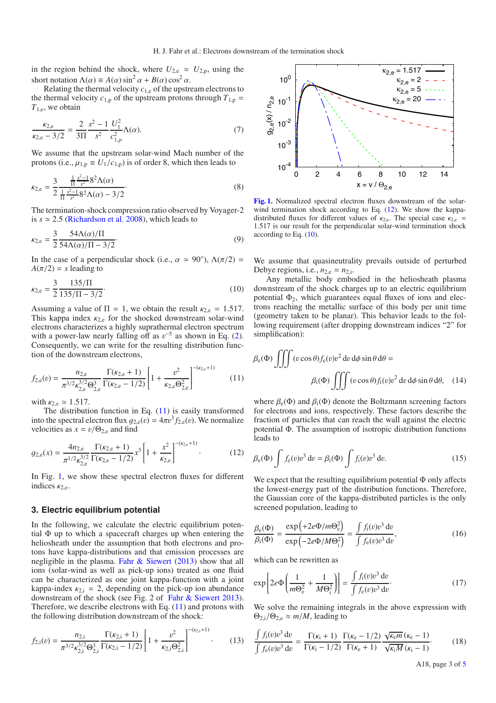in the region behind the shock, where  $U_{2,e} \approx U_{2,p}$ , using the short notation  $\Lambda(\alpha) \equiv A(\alpha) \sin^2 \alpha + B(\alpha) \cos^2 \alpha$ .

Relating the thermal velocity  $c_{1,e}$  of the upstream electrons to the thermal velocity  $c_{1,p}$  of the upstream protons through  $T_{1,p}$  = *<sup>T</sup>*1,e, we obtain

$$
\frac{\kappa_{2,e}}{\kappa_{2,e} - 3/2} = \frac{2}{3\Pi} \frac{s^2 - 1}{s^2} \frac{U_1^2}{c_{1,p}^2} \Lambda(\alpha). \tag{7}
$$

<span id="page-2-3"></span>We assume that the upstream solar-wind Mach number of the protons (i.e.,  $\mu_{1,p} \equiv U_1/c_{1,p}$ ) is of order 8, which then leads to

$$
\kappa_{2,e} = \frac{3}{2} \frac{\frac{1}{\Pi} \frac{s^2 - 1}{s^2} 8^2 \Lambda(\alpha)}{\frac{1}{\Pi} \frac{s^2 - 1}{s^2} 8^2 \Lambda(\alpha) - 3/2}.
$$
\n(8)

The termination-shock compression ratio observed by Voyager-2 is  $s \approx 2.5$  [\(Richardson et al. 2008](#page-4-11)), which leads to

<span id="page-2-0"></span>
$$
\kappa_{2,e} = \frac{3}{2} \frac{54\Lambda(\alpha)/\Pi}{54\Lambda(\alpha)/\Pi - 3/2}.
$$
\n(9)

In the case of a perpendicular shock (i.e.,  $\alpha \approx 90^{\circ}$ ),  $\Lambda(\pi/2) =$  $A(\pi/2) = s$  leading to

$$
\kappa_{2,e} = \frac{3}{2} \frac{135/\Pi}{135/\Pi - 3/2}.
$$
\n(10)

<span id="page-2-2"></span>Assuming a value of  $\Pi = 1$ , we obtain the result  $\kappa_{2,e} = 1.517$ . This kappa index  $\kappa_{2,e}$  for the shocked downstream solar-wind electrons characterizes a highly suprathermal electron spectrum with a power-law nearly falling off as  $v^{-5}$  as shown in Eq. [\(2\)](#page-1-1). Consequently, we can write for the resulting distribution function of the downstream electrons,

$$
f_{2,e}(v) = \frac{n_{2,e}}{\pi^{3/2} \kappa_{2,e}^{3/2} \Theta_{2,e}^3} \frac{\Gamma(\kappa_{2,e} + 1)}{\Gamma(\kappa_{2,e} - 1/2)} \left[ 1 + \frac{v^2}{\kappa_{2,e} \Theta_{2,e}^2} \right]^{-(\kappa_{2,e} + 1)}
$$
(11)

with  $\kappa_{2,e} \simeq 1.517$ .

The distribution function in Eq.  $(11)$  is easily transformed into the spectral electron flux  $g_{2,e}(v) = 4\pi v^3 f_{2,e}(v)$ . We normalize velocities as  $x = v/\Theta_{2,e}$  and find

$$
g_{2,e}(x) = \frac{4n_{2,e}}{\pi^{1/2}\kappa_{2,e}^{3/2}} \frac{\Gamma(\kappa_{2,e}+1)}{\Gamma(\kappa_{2,e}-1/2)} x^3 \left[1+\frac{x^2}{\kappa_{2,e}}\right]^{-(\kappa_{2,e}+1)}.
$$
 (12)

In Fig. [1,](#page-2-1) we show these spectral electron fluxes for different indices  $\kappa_{2,e}$ .

#### **3. Electric equilibrium potential**

In the following, we calculate the electric equilibrium potential Φ up to which a spacecraft charges up when entering the heliosheath under the assumption that both electrons and protons have kappa-distributions and that emission processes are negligible in the plasma. [Fahr & Siewert](#page-4-22) [\(2013\)](#page-4-22) show that all ions (solar-wind as well as pick-up ions) treated as one fluid can be characterized as one joint kappa-function with a joint kappa-index  $\kappa_{2,i} \simeq 2$ , depending on the pick-up ion abundance downstream of the shock (see Fig. 2 of [Fahr & Siewert 2013\)](#page-4-22). Therefore, we describe electrons with Eq. [\(11\)](#page-2-0) and protons with the following distribution downstream of the shock:

$$
f_{2,i}(v) = \frac{n_{2,i}}{\pi^{3/2} \kappa_{2,i}^{3/2} \Theta_{2,i}^3} \frac{\Gamma(\kappa_{2,i} + 1)}{\Gamma(\kappa_{2,i} - 1/2)} \left[ 1 + \frac{v^2}{\kappa_{2,i} \Theta_{2,i}^2} \right]^{-(\kappa_{2,i} + 1)}.
$$
 (13)

<span id="page-2-1"></span>

**[Fig. 1.](http://dexter.edpsciences.org/applet.php?DOI=10.1051/0004-6361/201525710&pdf_id=1)** Normalized spectral electron fluxes downstream of the solarwind termination shock according to Eq.  $(12)$ . We show the kappadistributed fluxes for different values of  $\kappa_{2,e}$ . The special case  $\kappa_{2,e}$  = <sup>1</sup>.517 is our result for the perpendicular solar-wind termination shock according to Eq. [\(10\)](#page-2-3).

We assume that quasineutrality prevails outside of perturbed Debye regions, i.e.,  $n_{2,e} = n_{2,i}$ .

Any metallic body embodied in the heliosheath plasma downstream of the shock charges up to an electric equilibrium potential  $\Phi_2$ , which guarantees equal fluxes of ions and electrons reaching the metallic surface of this body per unit time (geometry taken to be planar). This behavior leads to the following requirement (after dropping downstream indices "2" for simplification):

$$
\beta_{e}(\Phi) \iiint (v \cos \theta) f_{e}(v) v^{2} dv d\phi \sin \theta d\theta =
$$

$$
\beta_{i}(\Phi) \iiint (v \cos \theta) f_{i}(v) v^{2} dv d\phi \sin \theta d\theta, \quad (14)
$$

where  $\beta_e(\Phi)$  and  $\beta_i(\Phi)$  denote the Boltzmann screening factors for electrons and ions, respectively. These factors describe the fraction of particles that can reach the wall against the electric potential Φ. The assumption of isotropic distribution functions leads to

$$
\beta_{\rm e}(\Phi) \int f_{\rm e}(v) v^3 \, \mathrm{d}v = \beta_{\rm i}(\Phi) \int f_{\rm i}(v) v^3 \, \mathrm{d}v. \tag{15}
$$

We expect that the resulting equilibrium potential  $\Phi$  only affects the lowest-energy part of the distribution functions. Therefore, the Gaussian core of the kappa-distributed particles is the only screened population, leading to

$$
\frac{\beta_e(\Phi)}{\beta_i(\Phi)} = \frac{\exp\left(+2e\Phi/m\Theta_e^2\right)}{\exp\left(-2e\Phi/M\Theta_i^2\right)} = \frac{\int f_i(v)v^3 dv}{\int f_e(v)v^3 dv},\tag{16}
$$

which can be rewritten as

$$
\exp\left[2e\Phi\left(\frac{1}{m\Theta_{e}^{2}} + \frac{1}{M\Theta_{i}^{2}}\right)\right] = \frac{\int f_{i}(v)v^{3} dv}{\int f_{e}(v)v^{3} dv}.
$$
\n(17)

We solve the remaining integrals in the above expression with  $\Theta_{2,i}/\Theta_{2,e} \approx m/M$ , leading to

$$
\frac{\int f_i(v)v^3 dv}{\int f_e(v)v^3 dv} = \frac{\Gamma(\kappa_i + 1)}{\Gamma(\kappa_i - 1/2)} \frac{\Gamma(\kappa_e - 1/2)}{\Gamma(\kappa_e + 1)} \frac{\sqrt{\kappa_e m}(\kappa_e - 1)}{\sqrt{\kappa_i M}(\kappa_i - 1)}.
$$
(18)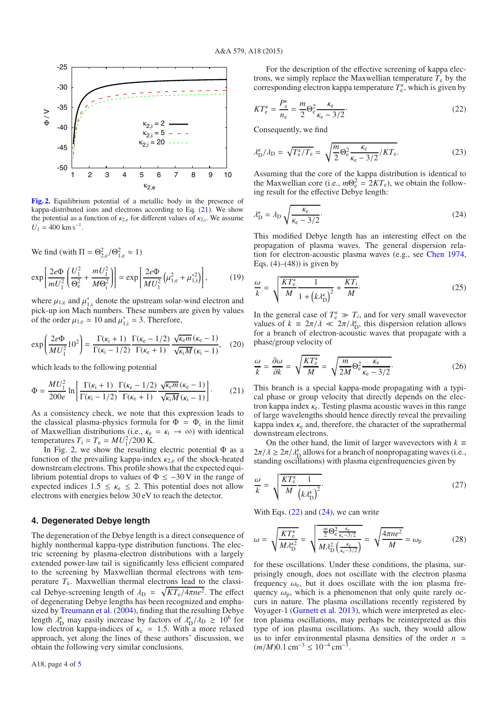<span id="page-3-1"></span>

**[Fig. 2.](http://dexter.edpsciences.org/applet.php?DOI=10.1051/0004-6361/201525710&pdf_id=2)** Equilibrium potential of a metallic body in the presence of kappa-distributed ions and electrons according to Eq.  $(21)$ . We show the potential as a function of  $\kappa_{2,e}$  for different values of  $\kappa_{2,i}$ . We assume  $U_1 = 400$  km s<sup>-1</sup>.

<span id="page-3-0"></span>We find (with  $\Pi = \Theta_{2,e}^2/\Theta_{1,e}^2 \approx 1$ )

$$
\exp\left[\frac{2e\Phi}{mU_1^2}\left(\frac{U_1^2}{\Theta_e^2} + \frac{mU_1^2}{M\Theta_i^2}\right)\right] = \exp\left[\frac{2e\Phi}{MU_1^2}\left(\mu_{1,e}^2 + \mu_{1,i}^{*2}\right)\right],\tag{19}
$$

where  $\mu_{1,e}$  and  $\mu_{1,i}^*$  denote the upstream solar-wind electron and pick-up ion Mach numbers. These numbers are given by values pick-up ion Mach numbers. These numbers are given by values of the order  $\mu_{1,e} \simeq 10$  and  $\mu_{1,i}^* \simeq 3$ . Therefore,

$$
\exp\left(\frac{2e\Phi}{MU_1^2}10^2\right) = \frac{\Gamma(\kappa_i+1)}{\Gamma(\kappa_i-1/2)} \frac{\Gamma(\kappa_e-1/2)}{\Gamma(\kappa_e+1)} \frac{\sqrt{\kappa_e m}(\kappa_e-1)}{\sqrt{\kappa_i M}(\kappa_i-1)},\tag{20}
$$

which leads to the following potential

$$
\Phi = \frac{MU_1^2}{200e} \ln \left[ \frac{\Gamma(\kappa_i + 1)}{\Gamma(\kappa_i - 1/2)} \frac{\Gamma(\kappa_e - 1/2)}{\Gamma(\kappa_e + 1)} \frac{\sqrt{\kappa_e m} (\kappa_e - 1)}{\sqrt{\kappa_i M} (\kappa_i - 1)} \right].
$$
 (21)

As a consistency check, we note that this expression leads to the classical plasma-physics formula for  $\Phi = \Phi_c$  in the limit of Maxwellian distributions (i.e.,  $\kappa_e = \kappa_i \rightarrow \infty$ ) with identical temperatures  $T_i = T_e = MU_1^2/200$  K.<br>In Fig. 2, we show the resulting

In Fig. [2,](#page-3-1) we show the resulting electric potential  $\Phi$  as a function of the prevailing kappa-index  $\kappa_{2,e}$  of the shock-heated downstream electrons. This profile shows that the expected equilibrium potential drops to values of  $\Phi \le -30$  V in the range of expected indices  $1.5 \leq \kappa_e \leq 2$ . This potential does not allow electrons with energies below 30 eV to reach the detector.

#### **4. Degenerated Debye length**

The degeneration of the Debye length is a direct consequence of highly nonthermal kappa-type distribution functions. The electric screening by plasma-electron distributions with a largely extended power-law tail is significantly less efficient compared to the screening by Maxwellian thermal electrons with temperature *T*e. Maxwellian thermal electrons lead to the classical Debye-screening length of  $\lambda_{\text{D}} = \sqrt{KT_e/4\pi ne^2}$ . The effect of degenerating Debye lengths has been recognized and emphaof degenerating Debye lengths has been recognized and emphasized by [Treumann et al.](#page-4-29) [\(2004\)](#page-4-29), finding that the resulting Debye length  $\lambda_D^{\kappa}$  may easily increase by factors of  $\lambda_D^{\kappa}/\lambda_D \geq 10^6$  for low electron kanna-indices of  $\kappa_0 \approx 1.5$  With a more relaxed low electron kappa-indices of  $\kappa_e \approx 1.5$ . With a more relaxed approach, yet along the lines of these authors' discussion, we obtain the following very similar conclusions.

<span id="page-3-3"></span><span id="page-3-2"></span>For the description of the effective screening of kappa electrons, we simply replace the Maxwellian temperature  $T_e$  by the corresponding electron kappa temperature  $T_{e}^{\kappa}$ , which is given by

$$
KT_e^{\kappa} = \frac{P_e^{\kappa}}{n_e} = \frac{m}{2}\Theta_e^2 \frac{\kappa_e}{\kappa_e - 3/2}.
$$
 (22)

Consequently, we find

$$
\lambda_{\rm D}^{\kappa}/\lambda_{\rm D} = \sqrt{T_{\rm e}^{\kappa}/T_{\rm e}} = \sqrt{\frac{m}{2} \Theta_{\rm e}^2 \frac{\kappa_{\rm e}}{\kappa_{\rm e} - 3/2} / KT_{\rm e}}.
$$
 (23)

Assuming that the core of the kappa distribution is identical to the Maxwellian core (i.e.,  $m\Theta_e^2 = 2KT_e$ ), we obtain the following result for the effective Debye length:

$$
\lambda_{\rm D}^{\kappa} = \lambda_{\rm D} \sqrt{\frac{\kappa_{\rm e}}{\kappa_{\rm e} - 3/2}}.
$$
\n(24)

This modified Debye length has an interesting effect on the propagation of plasma waves. The general dispersion relation for electron-acoustic plasma waves (e.g., see [Chen 1974](#page-4-30), Eqs.  $(4)$ – $(48)$ ) is given by

$$
\frac{\omega}{k} = \sqrt{\frac{KT_e^{\kappa}}{M} \frac{1}{1 + \left(k\lambda_D^{\kappa}\right)^2} + \frac{KT_i}{M}}.
$$
\n(25)

In the general case of  $T_e^k \gg T_i$ , and for very small wavevector values of  $k = 2\pi/\lambda \ll 2\pi/\lambda_D^k$ , this dispersion relation allows<br>for a branch of electron-acquistic waves that propagate with a for a branch of electron-acoustic waves that propagate with a phase/group velocity of

$$
\frac{\omega}{k} = \frac{\partial \omega}{\partial k} = \sqrt{\frac{KT_e^{\kappa}}{M}} = \sqrt{\frac{m}{2M} \Theta_e^2 \frac{\kappa_e}{\kappa_e - 3/2}}.
$$
 (26)

This branch is a special kappa-mode propagating with a typical phase or group velocity that directly depends on the electron kappa index  $\kappa_e$ . Testing plasma acoustic waves in this range of large wavelengths should hence directly reveal the prevailing kappa index  $\kappa_e$  and, therefore, the character of the suprathermal downstream electrons.

On the other hand, the limit of larger wavevectors with  $k \equiv$  $2\pi/\lambda \geq 2\pi/\lambda_D^k$  allows for a branch of nonpropagating waves (i.e., standing oscillations) with plasma eigenfrequencies given by standing oscillations) with plasma eigenfrequencies given by

$$
\frac{\omega}{k} = \sqrt{\frac{KT_e^{\kappa}}{M} \frac{1}{\left(k \lambda_{\rm D}^{\kappa}\right)^2}}.
$$
\n(27)

With Eqs.  $(22)$  and  $(24)$ , we can write

$$
\omega = \sqrt{\frac{KT_e^{\kappa}}{M\lambda_D^{\kappa 2}}} = \sqrt{\frac{\frac{m}{2}\Theta_e^2 \frac{\kappa_e}{\kappa_e - 3/2}}{M\lambda_D^2 \left(\frac{\kappa_e}{\kappa_e - 3/2}\right)}} = \sqrt{\frac{4\pi n e^2}{M}} = \omega_p \tag{28}
$$

for these oscillations. Under these conditions, the plasma, surprisingly enough, does not oscillate with the electron plasma frequency  $\omega_e$ , but it does oscillate with the ion plasma frequency  $\omega_p$ , which is a phenomenon that only quite rarely occurs in nature. The plasma oscillations recently registered by Voyager-1 [\(Gurnett et al. 2013](#page-4-31)), which were interpreted as electron plasma oscillations, may perhaps be reinterpreted as this type of ion plasma oscillations. As such, they would allow us to infer environmental plasma densities of the order  $n \approx$  $(m/M)0.1$  cm<sup>-3</sup> ≤ 10<sup>-4</sup> cm<sup>-3</sup>.